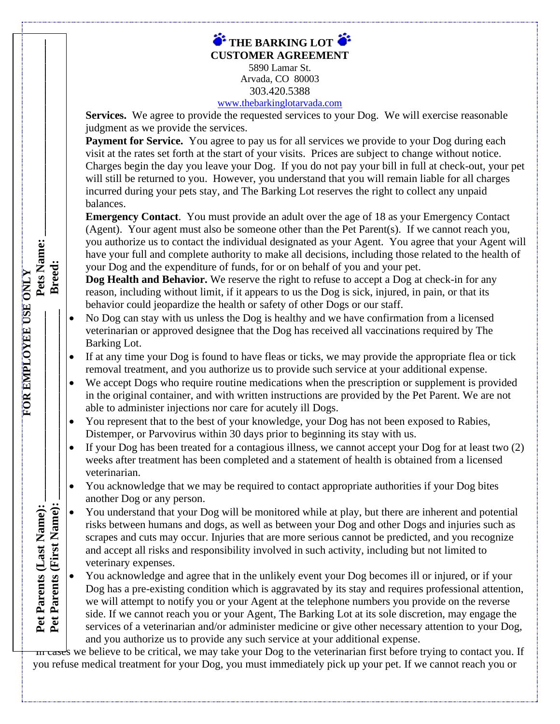| $\bullet$ THE BARKING LOT $\bullet$ |  |
|-------------------------------------|--|
| <b>CUSTOMER AGREEMENT</b>           |  |
| 5890 Lamar St.                      |  |

Arvada, CO 80003 303.420.5388

## [www.thebarkinglotarvada.com](http://www.thebarkinglotarvada.com/)

Services. We agree to provide the requested services to your Dog. We will exercise reasonable judgment as we provide the services.

Payment for Service. You agree to pay us for all services we provide to your Dog during each visit at the rates set forth at the start of your visits. Prices are subject to change without notice. Charges begin the day you leave your Dog. If you do not pay your bill in full at check-out, your pet will still be returned to you. However, you understand that you will remain liable for all charges incurred during your pets stay, and The Barking Lot reserves the right to collect any unpaid balances.

**Emergency Contact**. You must provide an adult over the age of 18 as your Emergency Contact (Agent). Your agent must also be someone other than the Pet Parent(s). If we cannot reach you, you authorize us to contact the individual designated as your Agent. You agree that your Agent will have your full and complete authority to make all decisions, including those related to the health of your Dog and the expenditure of funds, for or on behalf of you and your pet.

**Dog Health and Behavior.** We reserve the right to refuse to accept a Dog at check-in for any reason, including without limit, if it appears to us the Dog is sick, injured, in pain, or that its behavior could jeopardize the health or safety of other Dogs or our staff.

• No Dog can stay with us unless the Dog is healthy and we have confirmation from a licensed veterinarian or approved designee that the Dog has received all vaccinations required by The Barking Lot.

**FOR EMPLOYEE USE ONLY**

Pet Parents (Last Name): Pet Parents (First Name):

FOR EMPLOYEE USE ONLY

Pets Name: Breed:

- If at any time your Dog is found to have fleas or ticks, we may provide the appropriate flea or tick removal treatment, and you authorize us to provide such service at your additional expense.
- We accept Dogs who require routine medications when the prescription or supplement is provided in the original container, and with written instructions are provided by the Pet Parent. We are not able to administer injections nor care for acutely ill Dogs.
- You represent that to the best of your knowledge, your Dog has not been exposed to Rabies, Distemper, or Parvovirus within 30 days prior to beginning its stay with us.
- If your Dog has been treated for a contagious illness, we cannot accept your Dog for at least two (2) weeks after treatment has been completed and a statement of health is obtained from a licensed veterinarian.
- You acknowledge that we may be required to contact appropriate authorities if your Dog bites another Dog or any person.
- You understand that your Dog will be monitored while at play, but there are inherent and potential risks between humans and dogs, as well as between your Dog and other Dogs and injuries such as scrapes and cuts may occur. Injuries that are more serious cannot be predicted, and you recognize and accept all risks and responsibility involved in such activity, including but not limited to veterinary expenses. **Pet Parents (Last Name): \_\_\_\_\_\_\_\_\_\_\_\_\_\_\_\_\_\_\_\_\_\_\_\_\_\_\_\_\_\_\_\_ Pets Name: \_\_\_\_\_\_\_\_\_\_\_\_\_\_\_\_\_\_\_\_\_\_\_\_\_\_\_\_\_\_\_\_\_ Pet Parents (First Name): \_\_\_\_\_\_\_\_\_\_\_\_\_\_\_\_\_\_\_\_\_\_\_\_\_\_\_\_\_\_\_\_ Breed: \_\_\_\_\_\_\_\_\_\_\_\_\_\_\_\_\_\_\_\_\_\_\_\_\_\_\_\_\_\_\_\_\_\_\_\_\_\_\_\_\_**

• You acknowledge and agree that in the unlikely event your Dog becomes ill or injured, or if your Dog has a pre-existing condition which is aggravated by its stay and requires professional attention, we will attempt to notify you or your Agent at the telephone numbers you provide on the reverse side. If we cannot reach you or your Agent, The Barking Lot at its sole discretion, may engage the services of a veterinarian and/or administer medicine or give other necessary attention to your Dog, and you authorize us to provide any such service at your additional expense.

In cases we believe to be critical, we may take your Dog to the veterinarian first before trying to contact you. If you refuse medical treatment for your Dog, you must immediately pick up your pet. If we cannot reach you or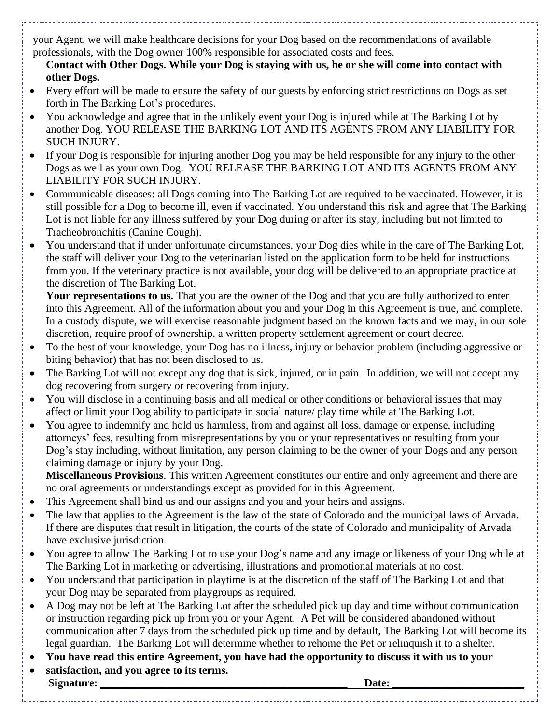your Agent, we will make healthcare decisions for your Dog based on the recommendations of available professionals, with the Dog owner 100% responsible for associated costs and fees.

**Contact with Other Dogs. While your Dog is staying with us, he or she will come into contact with other Dogs.**

- Every effort will be made to ensure the safety of our guests by enforcing strict restrictions on Dogs as set forth in The Barking Lot's procedures.
- You acknowledge and agree that in the unlikely event your Dog is injured while at The Barking Lot by another Dog. YOU RELEASE THE BARKING LOT AND ITS AGENTS FROM ANY LIABILITY FOR SUCH INJURY.
- If your Dog is responsible for injuring another Dog you may be held responsible for any injury to the other Dogs as well as your own Dog. YOU RELEASE THE BARKING LOT AND ITS AGENTS FROM ANY LIABILITY FOR SUCH INJURY.
- Communicable diseases: all Dogs coming into The Barking Lot are required to be vaccinated. However, it is still possible for a Dog to become ill, even if vaccinated. You understand this risk and agree that The Barking Lot is not liable for any illness suffered by your Dog during or after its stay, including but not limited to Tracheobronchitis (Canine Cough).
- You understand that if under unfortunate circumstances, your Dog dies while in the care of The Barking Lot, the staff will deliver your Dog to the veterinarian listed on the application form to be held for instructions from you. If the veterinary practice is not available, your dog will be delivered to an appropriate practice at the discretion of The Barking Lot.

**Your representations to us.** That you are the owner of the Dog and that you are fully authorized to enter into this Agreement. All of the information about you and your Dog in this Agreement is true, and complete. In a custody dispute, we will exercise reasonable judgment based on the known facts and we may, in our sole discretion, require proof of ownership, a written property settlement agreement or court decree.

- To the best of your knowledge, your Dog has no illness, injury or behavior problem (including aggressive or biting behavior) that has not been disclosed to us.
- The Barking Lot will not except any dog that is sick, injured, or in pain. In addition, we will not accept any dog recovering from surgery or recovering from injury.
- You will disclose in a continuing basis and all medical or other conditions or behavioral issues that may affect or limit your Dog ability to participate in social nature/ play time while at The Barking Lot.
- You agree to indemnify and hold us harmless, from and against all loss, damage or expense, including attorneys' fees, resulting from misrepresentations by you or your representatives or resulting from your Dog's stay including, without limitation, any person claiming to be the owner of your Dogs and any person claiming damage or injury by your Dog.

**Miscellaneous Provisions**. This written Agreement constitutes our entire and only agreement and there are no oral agreements or understandings except as provided for in this Agreement.

- This Agreement shall bind us and our assigns and you and your heirs and assigns.
- The law that applies to the Agreement is the law of the state of Colorado and the municipal laws of Arvada. If there are disputes that result in litigation, the courts of the state of Colorado and municipality of Arvada have exclusive jurisdiction.
- You agree to allow The Barking Lot to use your Dog's name and any image or likeness of your Dog while at The Barking Lot in marketing or advertising, illustrations and promotional materials at no cost.
- You understand that participation in playtime is at the discretion of the staff of The Barking Lot and that your Dog may be separated from playgroups as required.
- A Dog may not be left at The Barking Lot after the scheduled pick up day and time without communication or instruction regarding pick up from you or your Agent. A Pet will be considered abandoned without communication after 7 days from the scheduled pick up time and by default, The Barking Lot will become its legal guardian. The Barking Lot will determine whether to rehome the Pet or relinquish it to a shelter.
- **You have read this entire Agreement, you have had the opportunity to discuss it with us to your**
- **satisfaction, and you agree to its terms. Signature: \_\_\_\_\_\_\_\_\_\_\_\_\_\_\_\_\_\_\_\_\_\_\_\_\_\_\_\_\_\_\_\_\_\_\_\_\_\_\_\_\_\_\_\_\_ Date: \_\_\_\_\_\_\_\_\_\_\_\_\_\_\_\_\_\_\_\_\_\_\_\_**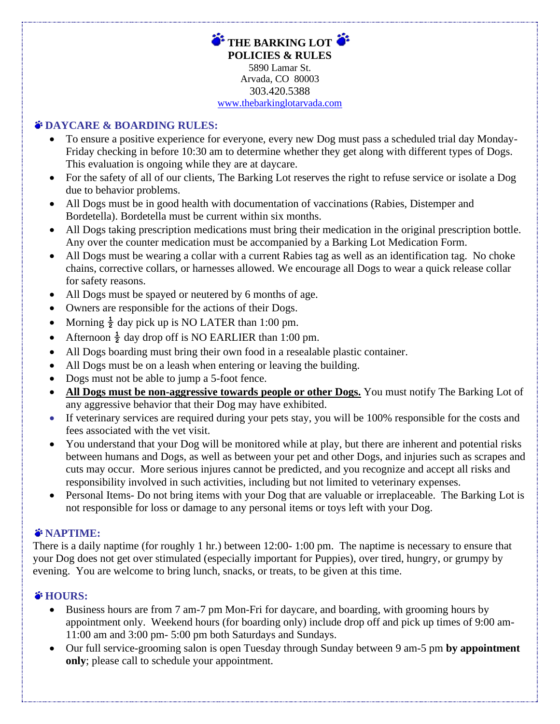**THE BARKING LOT POLICIES & RULES** 5890 Lamar St. Arvada, CO 80003 303.420.5388 [www.thebarkinglotarvada.com](http://www.thebarkinglotarvada.com/)

## **DAYCARE & BOARDING RULES:**

- To ensure a positive experience for everyone, every new Dog must pass a scheduled trial day Monday-Friday checking in before 10:30 am to determine whether they get along with different types of Dogs. This evaluation is ongoing while they are at daycare.
- For the safety of all of our clients, The Barking Lot reserves the right to refuse service or isolate a Dog due to behavior problems.
- All Dogs must be in good health with documentation of vaccinations (Rabies, Distemper and Bordetella). Bordetella must be current within six months.
- All Dogs taking prescription medications must bring their medication in the original prescription bottle. Any over the counter medication must be accompanied by a Barking Lot Medication Form.
- All Dogs must be wearing a collar with a current Rabies tag as well as an identification tag. No choke chains, corrective collars, or harnesses allowed. We encourage all Dogs to wear a quick release collar for safety reasons.
- All Dogs must be spayed or neutered by 6 months of age.
- Owners are responsible for the actions of their Dogs.
- Morning  $\frac{1}{2}$  day pick up is NO LATER than 1:00 pm.
- Afternoon  $\frac{1}{2}$  day drop off is NO EARLIER than 1:00 pm.
- All Dogs boarding must bring their own food in a resealable plastic container.
- All Dogs must be on a leash when entering or leaving the building.
- Dogs must not be able to jump a 5-foot fence.
- **All Dogs must be non-aggressive towards people or other Dogs.** You must notify The Barking Lot of any aggressive behavior that their Dog may have exhibited.
- If veterinary services are required during your pets stay, you will be 100% responsible for the costs and fees associated with the vet visit.
- You understand that your Dog will be monitored while at play, but there are inherent and potential risks between humans and Dogs, as well as between your pet and other Dogs, and injuries such as scrapes and cuts may occur. More serious injures cannot be predicted, and you recognize and accept all risks and responsibility involved in such activities, including but not limited to veterinary expenses.
- Personal Items- Do not bring items with your Dog that are valuable or irreplaceable. The Barking Lot is not responsible for loss or damage to any personal items or toys left with your Dog.

## *S***NAPTIME:**

There is a daily naptime (for roughly 1 hr.) between 12:00- 1:00 pm. The naptime is necessary to ensure that your Dog does not get over stimulated (especially important for Puppies), over tired, hungry, or grumpy by evening. You are welcome to bring lunch, snacks, or treats, to be given at this time.

## *i* HOURS:

- Business hours are from 7 am-7 pm Mon-Fri for daycare, and boarding, with grooming hours by appointment only. Weekend hours (for boarding only) include drop off and pick up times of 9:00 am-11:00 am and 3:00 pm- 5:00 pm both Saturdays and Sundays.
- Our full service-grooming salon is open Tuesday through Sunday between 9 am-5 pm **by appointment only**; please call to schedule your appointment.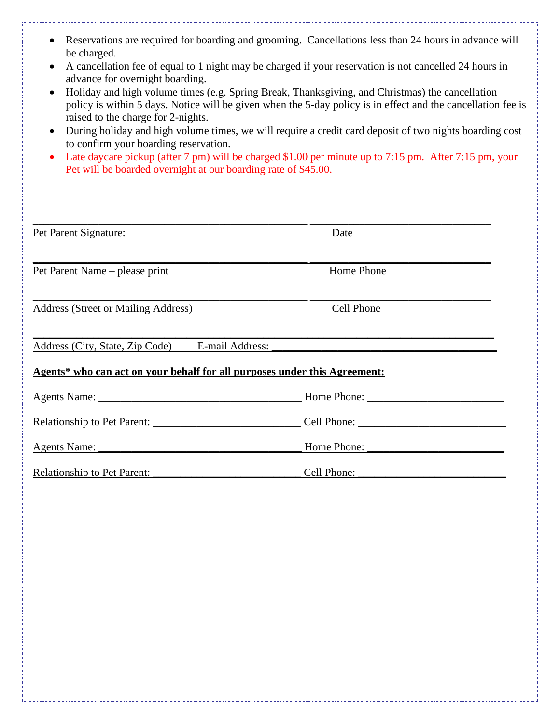- Reservations are required for boarding and grooming. Cancellations less than 24 hours in advance will be charged.
- A cancellation fee of equal to 1 night may be charged if your reservation is not cancelled 24 hours in advance for overnight boarding.
- Holiday and high volume times (e.g. Spring Break, Thanksgiving, and Christmas) the cancellation policy is within 5 days. Notice will be given when the 5-day policy is in effect and the cancellation fee is raised to the charge for 2-nights.
- During holiday and high volume times, we will require a credit card deposit of two nights boarding cost to confirm your boarding reservation.
- Late daycare pickup (after 7 pm) will be charged \$1.00 per minute up to 7:15 pm. After 7:15 pm, your Pet will be boarded overnight at our boarding rate of \$45.00.

| Pet Parent Signature:                                                     | Date              |  |
|---------------------------------------------------------------------------|-------------------|--|
|                                                                           |                   |  |
| Pet Parent Name – please print                                            | Home Phone        |  |
| Address (Street or Mailing Address)                                       | <b>Cell Phone</b> |  |
|                                                                           |                   |  |
| E-mail Address:<br>Address (City, State, Zip Code)                        |                   |  |
| Agents* who can act on your behalf for all purposes under this Agreement: |                   |  |
| <b>Agents Name:</b>                                                       | Home Phone:       |  |
| <b>Relationship to Pet Parent:</b>                                        | Cell Phone:       |  |
| <b>Agents Name:</b>                                                       | Home Phone:       |  |
| <b>Relationship to Pet Parent:</b>                                        | Cell Phone:       |  |